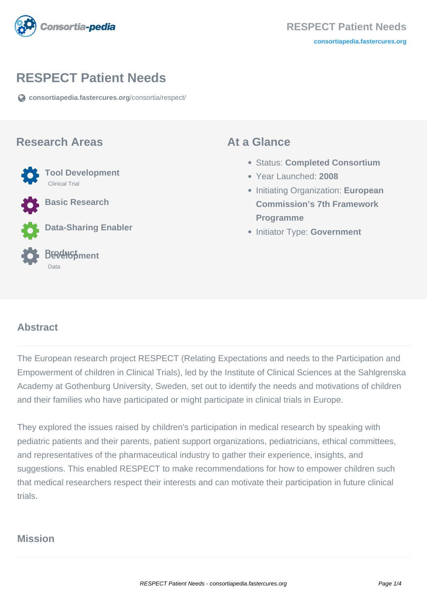

# **RESPECT Patient Needs**

**[consortiapedia.fastercures.org](https://consortiapedia.fastercures.org/consortia/respect/)**[/consortia/respect/](https://consortiapedia.fastercures.org/consortia/respect/)

#### **Research Areas**



**Basic Research**

**Data-Sharing Enabler**



## **At a Glance**

- Status: **Completed Consortium**
- Year Launched: **2008**
- **Initiating Organization: European Commission's 7th Framework Programme**
- **Initiator Type: Government**

#### $\overline{a}$ **Abstract**

The European research project RESPECT (Relating Expectations and needs to the Participation and Empowerment of children in Clinical Trials), led by the Institute of Clinical Sciences at the Sahlgrenska Academy at Gothenburg University, Sweden, set out to identify the needs and motivations of children and their families who have participated or might participate in clinical trials in Europe.

They explored the issues raised by children's participation in medical research by speaking with pediatric patients and their parents, patient support organizations, pediatricians, ethical committees, and representatives of the pharmaceutical industry to gather their experience, insights, and suggestions. This enabled RESPECT to make recommendations for how to empower children such that medical researchers respect their interests and can motivate their participation in future clinical trials.

## **Mission**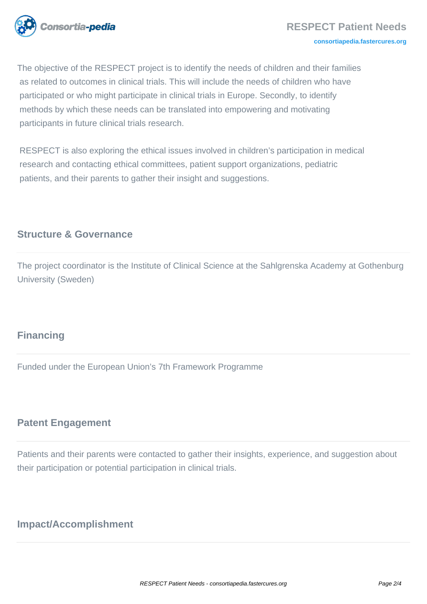

The objective of the RESPECT project is to identify the needs of children and their families as related to outcomes in clinical trials. This will include the needs of children who have participated or who might participate in clinical trials in Europe. Secondly, to identify methods by which these needs can be translated into empowering and motivating participants in future clinical trials research.

 RESPECT is also exploring the ethical issues involved in children's participation in medical research and contacting ethical committees, patient support organizations, pediatric patients, and their parents to gather their insight and suggestions.

# **Structure & Governance**

The project coordinator is the Institute of Clinical Science at the Sahlgrenska Academy at Gothenburg University (Sweden)

# **Financing**

Funded under the European Union's 7th Framework Programme

# **Patent Engagement**

Patients and their parents were contacted to gather their insights, experience, and suggestion about their participation or potential participation in clinical trials.

# **Impact/Accomplishment**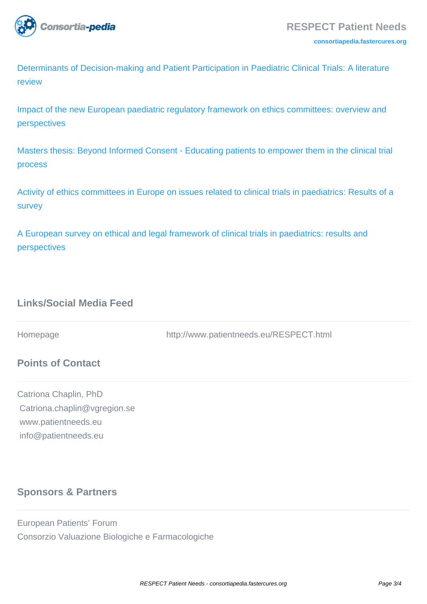

[Determinants of Decision-making and Patient Participation in Paediatric Clinical Trials: A literature](http://dx.doi.org/10.4236/ojped.2012.21001) [review](http://dx.doi.org/10.4236/ojped.2012.21001)

[Impact of the new European paediatric regulatory framework on ethics committees: overview and](http://www.ncbi.nlm.nih.gov/pubmed/21732978) [perspectives](http://www.ncbi.nlm.nih.gov/pubmed/21732978)

[Masters thesis: Beyond Informed Consent - Educating patients to empower them in the clinical trial](http://www.patientneeds.eu/docs/beyond_informed_consent_andrea_sandberg.pdf) [process](http://www.patientneeds.eu/docs/beyond_informed_consent_andrea_sandberg.pdf)

[Activity of ethics committees in Europe on issues related to clinical trials in paediatrics: Results of a](http://iospress.metapress.com/content/w18n871p53127881/) [survey](http://iospress.metapress.com/content/w18n871p53127881/)

[A European survey on ethical and legal framework of clinical trials in paediatrics: results and](http://www.ncbi.nlm.nih.gov/pubmed/19244940) [perspectives](http://www.ncbi.nlm.nih.gov/pubmed/19244940)

# **Links/Social Media Feed**

Homepage http://www.patientneeds.eu/RESPECT.html

### **Points of Contact**

Catriona Chaplin, PhD Catriona.chaplin@vgregion.se www.patientneeds.eu info@patientneeds.eu

## **Sponsors & Partners**

European Patients' Forum Consorzio Valuazione Biologiche e Farmacologiche